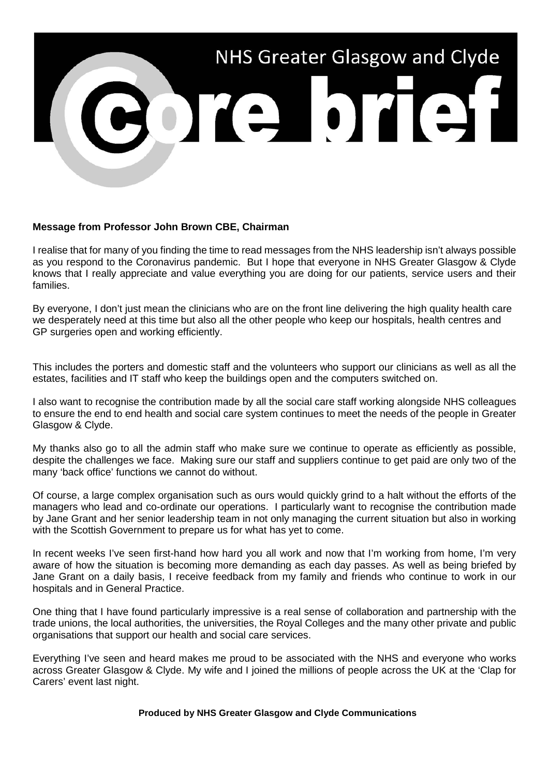

## **Message from Professor John Brown CBE, Chairman**

I realise that for many of you finding the time to read messages from the NHS leadership isn't always possible as you respond to the Coronavirus pandemic. But I hope that everyone in NHS Greater Glasgow & Clyde knows that I really appreciate and value everything you are doing for our patients, service users and their families.

By everyone, I don't just mean the clinicians who are on the front line delivering the high quality health care we desperately need at this time but also all the other people who keep our hospitals, health centres and GP surgeries open and working efficiently.

This includes the porters and domestic staff and the volunteers who support our clinicians as well as all the estates, facilities and IT staff who keep the buildings open and the computers switched on.

I also want to recognise the contribution made by all the social care staff working alongside NHS colleagues to ensure the end to end health and social care system continues to meet the needs of the people in Greater Glasgow & Clyde.

My thanks also go to all the admin staff who make sure we continue to operate as efficiently as possible, despite the challenges we face. Making sure our staff and suppliers continue to get paid are only two of the many 'back office' functions we cannot do without.

Of course, a large complex organisation such as ours would quickly grind to a halt without the efforts of the managers who lead and co-ordinate our operations. I particularly want to recognise the contribution made by Jane Grant and her senior leadership team in not only managing the current situation but also in working with the Scottish Government to prepare us for what has yet to come.

In recent weeks I've seen first-hand how hard you all work and now that I'm working from home, I'm very aware of how the situation is becoming more demanding as each day passes. As well as being briefed by Jane Grant on a daily basis, I receive feedback from my family and friends who continue to work in our hospitals and in General Practice.

One thing that I have found particularly impressive is a real sense of collaboration and partnership with the trade unions, the local authorities, the universities, the Royal Colleges and the many other private and public organisations that support our health and social care services.

Everything I've seen and heard makes me proud to be associated with the NHS and everyone who works across Greater Glasgow & Clyde. My wife and I joined the millions of people across the UK at the 'Clap for Carers' event last night.

**Produced by NHS Greater Glasgow and Clyde Communications**